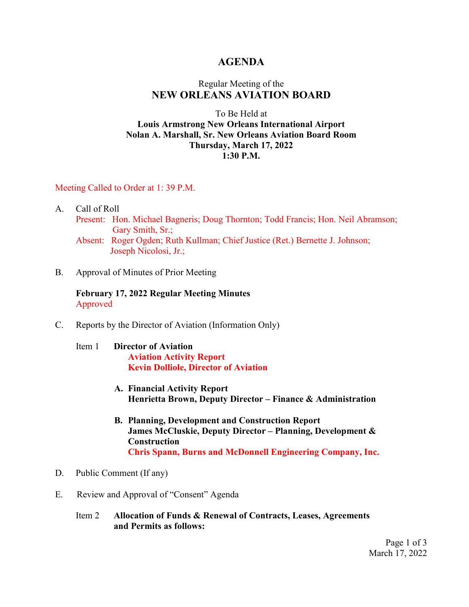### **AGENDA**

## Regular Meeting of the **NEW ORLEANS AVIATION BOARD**

#### To Be Held at **Louis Armstrong New Orleans International Airport Nolan A. Marshall, Sr. New Orleans Aviation Board Room Thursday, March 17, 2022 1:30 P.M.**

#### Meeting Called to Order at 1: 39 P.M.

- A. Call of Roll
	- Present: Hon. Michael Bagneris; Doug Thornton; Todd Francis; Hon. Neil Abramson; Gary Smith, Sr.;

Absent: Roger Ogden; Ruth Kullman; Chief Justice (Ret.) Bernette J. Johnson; Joseph Nicolosi, Jr.;

B. Approval of Minutes of Prior Meeting

**February 17, 2022 Regular Meeting Minutes** Approved

C. Reports by the Director of Aviation (Information Only)

#### Item 1 **Director of Aviation Aviation Activity Report Kevin Dolliole, Director of Aviation**

- **A. Financial Activity Report Henrietta Brown, Deputy Director – Finance & Administration**
- **B. Planning, Development and Construction Report James McCluskie, Deputy Director – Planning, Development & Construction Chris Spann, Burns and McDonnell Engineering Company, Inc.**
- D. Public Comment (If any)
- E. Review and Approval of "Consent" Agenda
	- Item 2 **Allocation of Funds & Renewal of Contracts, Leases, Agreements and Permits as follows:**

Page 1 of 3 March 17, 2022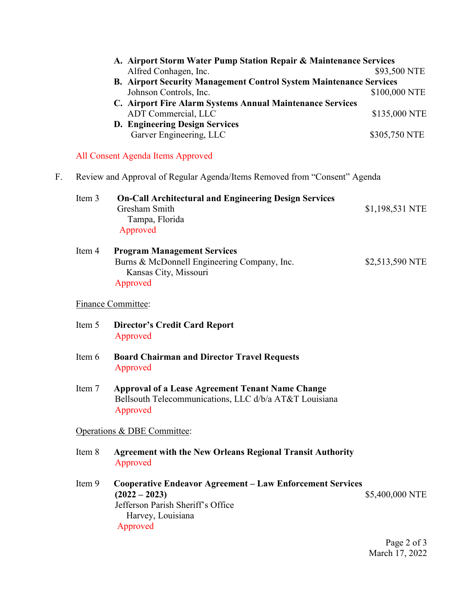|    |                                                                           | A. Airport Storm Water Pump Station Repair & Maintenance Services<br>Alfred Conhagen, Inc.<br><b>B. Airport Security Management Control System Maintenance Services</b><br>Johnson Controls, Inc.<br>C. Airport Fire Alarm Systems Annual Maintenance Services<br>ADT Commercial, LLC<br>D. Engineering Design Services<br>Garver Engineering, LLC | \$93,500 NTE<br>\$100,000 NTE<br>\$135,000 NTE<br>\$305,750 NTE |
|----|---------------------------------------------------------------------------|----------------------------------------------------------------------------------------------------------------------------------------------------------------------------------------------------------------------------------------------------------------------------------------------------------------------------------------------------|-----------------------------------------------------------------|
|    |                                                                           | All Consent Agenda Items Approved                                                                                                                                                                                                                                                                                                                  |                                                                 |
| F. | Review and Approval of Regular Agenda/Items Removed from "Consent" Agenda |                                                                                                                                                                                                                                                                                                                                                    |                                                                 |
|    | Item 3                                                                    | <b>On-Call Architectural and Engineering Design Services</b><br>Gresham Smith<br>Tampa, Florida<br>Approved                                                                                                                                                                                                                                        | \$1,198,531 NTE                                                 |
|    | Item 4                                                                    | <b>Program Management Services</b><br>Burns & McDonnell Engineering Company, Inc.<br>Kansas City, Missouri<br>Approved                                                                                                                                                                                                                             | \$2,513,590 NTE                                                 |
|    | <b>Finance Committee:</b>                                                 |                                                                                                                                                                                                                                                                                                                                                    |                                                                 |
|    | Item 5                                                                    | <b>Director's Credit Card Report</b><br>Approved                                                                                                                                                                                                                                                                                                   |                                                                 |
|    | Item 6                                                                    | <b>Board Chairman and Director Travel Requests</b><br>Approved                                                                                                                                                                                                                                                                                     |                                                                 |
|    | Item 7                                                                    | <b>Approval of a Lease Agreement Tenant Name Change</b><br>Bellsouth Telecommunications, LLC d/b/a AT&T Louisiana<br>Approved                                                                                                                                                                                                                      |                                                                 |
|    | Operations & DBE Committee:                                               |                                                                                                                                                                                                                                                                                                                                                    |                                                                 |
|    | Item 8                                                                    | <b>Agreement with the New Orleans Regional Transit Authority</b><br>Approved                                                                                                                                                                                                                                                                       |                                                                 |
|    | Item 9                                                                    | <b>Cooperative Endeavor Agreement - Law Enforcement Services</b><br>$(2022 - 2023)$<br>Jefferson Parish Sheriff's Office<br>Harvey, Louisiana<br>Approved                                                                                                                                                                                          | \$5,400,000 NTE                                                 |

Page 2 of 3 March 17, 2022